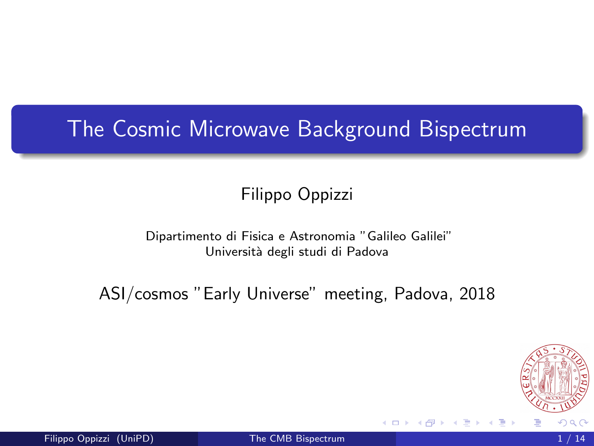## <span id="page-0-0"></span>The Cosmic Microwave Background Bispectrum

#### Filippo Oppizzi

#### Dipartimento di Fisica e Astronomia "Galileo Galilei" Università degli studi di Padova

ASI/cosmos "Early Universe" meeting, Padova, 2018

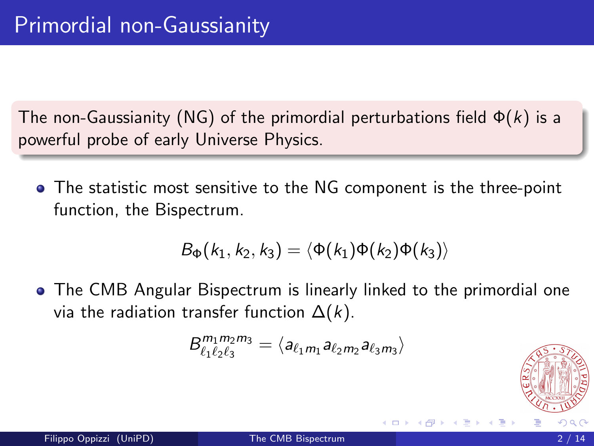The non-Gaussianity (NG) of the primordial perturbations field  $\Phi(k)$  is a powerful probe of early Universe Physics.

The statistic most sensitive to the NG component is the three-point function, the Bispectrum.

$$
B_{\Phi}(k_1,k_2,k_3)=\langle \Phi(k_1)\Phi(k_2)\Phi(k_3)\rangle
$$

The CMB Angular Bispectrum is linearly linked to the primordial one via the radiation transfer function  $\Delta(k)$ .

$$
B_{\ell_1 \ell_2 \ell_3}^{m_1 m_2 m_3} = \langle a_{\ell_1 m_1} a_{\ell_2 m_2} a_{\ell_3 m_3} \rangle
$$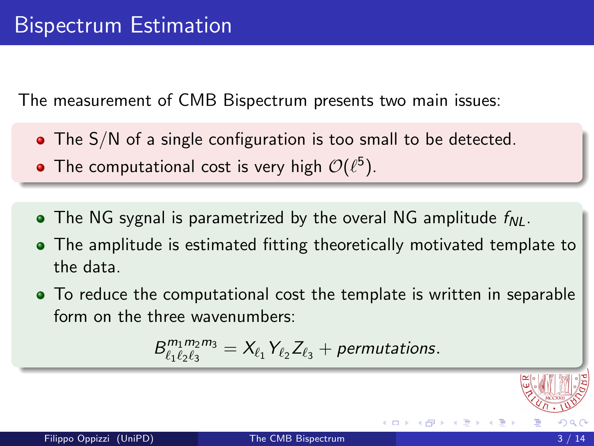The measurement of CMB Bispectrum presents two main issues:

- The S/N of a single configuration is too small to be detected.
- The computational cost is very high  $\mathcal{O}(\ell^5).$
- The NG sygnal is parametrized by the overal NG amplitude  $f_{NL}$ .
- The amplitude is estimated fitting theoretically motivated template to the data.
- To reduce the computational cost the template is written in separable form on the three wavenumbers:

$$
B_{\ell_1 \ell_2 \ell_3}^{m_1 m_2 m_3} = X_{\ell_1} Y_{\ell_2} Z_{\ell_3} + permutations.
$$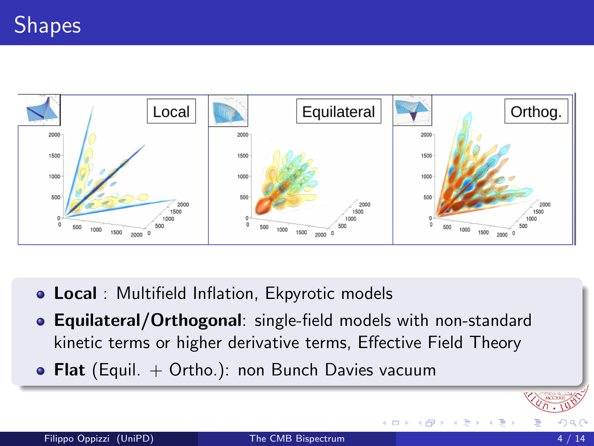

- **.** Local : Multifield Inflation, Ekpyrotic models
- **Equilateral/Orthogonal:** single-field models with non-standard kinetic terms or higher derivative terms, Effective Field Theory
- Flat (Equil.  $+$  Ortho.): non Bunch Davies vacuum

4 D F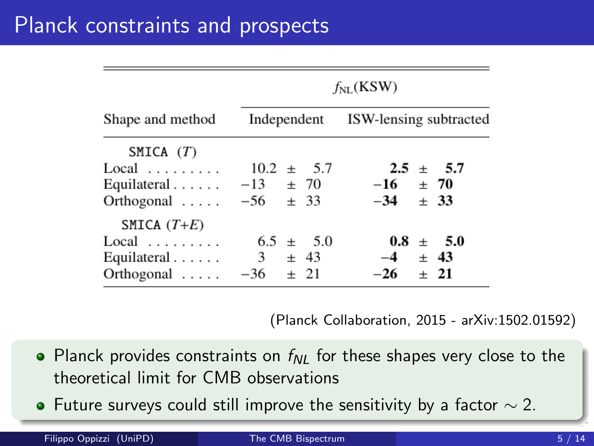| Shape and method                                                                   | $f_{NL}$ (KSW)                              |                                            |  |  |  |
|------------------------------------------------------------------------------------|---------------------------------------------|--------------------------------------------|--|--|--|
|                                                                                    |                                             | Independent ISW-lensing subtracted         |  |  |  |
| SMICA $(T)$<br>Local<br>Equilateral $\ldots$<br>Orthogonal $\ldots$ $-56$ $\pm$ 33 | $10.2 \pm 5.7$<br>$-13 + 70$                | $2.5 \pm 5.7$<br>$-16 + 70$<br>$-34 + 33$  |  |  |  |
| SMICA $(T+E)$<br>Local<br>Equilateral $\ldots$<br>$Orthogonal$                     | $6.5 \pm 5.0$<br>$3 \pm 43$<br>$-36 \pm 21$ | $0.8 \pm 5.0$<br>$-4 \pm 43$<br>$-26 + 21$ |  |  |  |

(Planck Collaboration, 2015 - arXiv:1502.01592)

- Planck provides constraints on  $f_{\text{N}}$  for these shapes very close to the theoretical limit for CMB observations
- $\bullet$  Future surveys could still improve the sensitivity by a factor  $\sim$  2.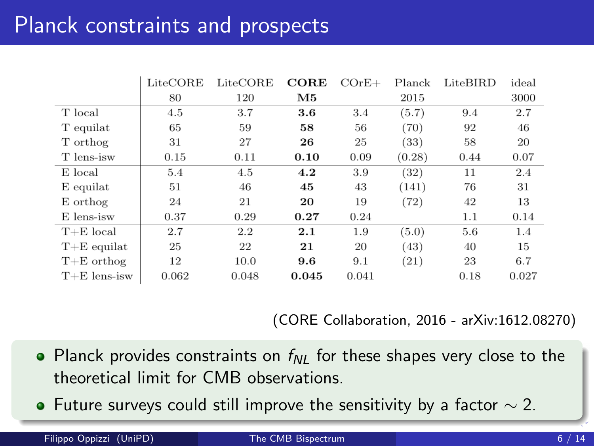## Planck constraints and prospects

|                | LiteCORE | LiteCORE | $CORE$ | $COrE+$ | Planck | LiteBIRD | ideal |
|----------------|----------|----------|--------|---------|--------|----------|-------|
|                | 80       | 120      | M5     |         | 2015   |          | 3000  |
| T local        | 4.5      | 3.7      | 3.6    | 3.4     | (5.7)  | 9.4      | 2.7   |
| T equilat      | 65       | 59       | 58     | 56      | (70)   | 92       | 46    |
| T orthog       | 31       | 27       | 26     | 25      | (33)   | 58       | 20    |
| T lens-isw     | 0.15     | 0.11     | 0.10   | 0.09    | (0.28) | 0.44     | 0.07  |
| E local        | 5.4      | 4.5      | 4.2    | 3.9     | (32)   | 11       | 2.4   |
| $E$ equilat    | 51       | 46       | 45     | 43      | (141)  | 76       | 31    |
| E orthog       | 24       | 21       | 20     | 19      | (72)   | 42       | 13    |
| E lens-isw     | 0.37     | 0.29     | 0.27   | 0.24    |        | 1.1      | 0.14  |
| $T+E$ local    | 2.7      | 2.2      | 2.1    | 1.9     | (5.0)  | 5.6      | 1.4   |
| $T+E$ equilat  | 25       | 22       | 21     | 20      | (43)   | 40       | 15    |
| $T+E$ orthog   | 12       | 10.0     | 9.6    | 9.1     | (21)   | 23       | 6.7   |
| $T+E$ lens-isw | 0.062    | 0.048    | 0.045  | 0.041   |        | 0.18     | 0.027 |

(CORE Collaboration, 2016 - arXiv:1612.08270)

- Planck provides constraints on  $f_{\text{N}}$  for these shapes very close to the theoretical limit for CMB observations.
- $\bullet$  Future surveys could still improve the sensitivity by a factor  $\sim$  2.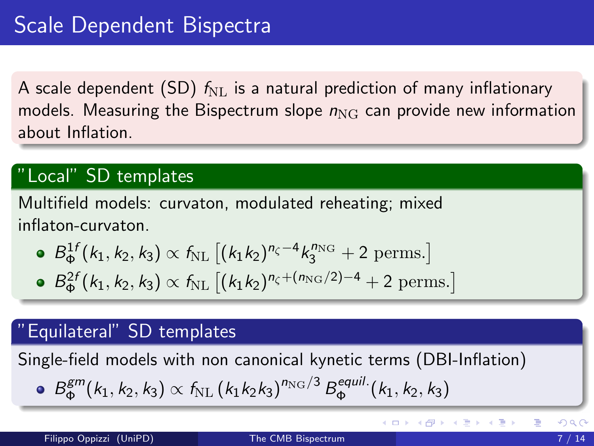A scale dependent (SD)  $f_{\text{NL}}$  is a natural prediction of many inflationary models. Measuring the Bispectrum slope  $n_{\text{NG}}$  can provide new information about Inflation.

### "Local" SD templates

Multifield models: curvaton, modulated reheating; mixed inflaton-curvaton.

• 
$$
B_{\Phi}^{1f}(k_1, k_2, k_3) \propto f_{\rm NL} [(k_1 k_2)^{n_{\zeta}-4} k_3^{n_{\rm NG}} + 2 \text{ perms.}]
$$

• 
$$
B_{\Phi}^{2f}(k_1, k_2, k_3) \propto f_{\text{NL}} [(k_1 k_2)^{n_{\zeta} + (n_{\text{NG}}/2) - 4} + 2 \text{ perms.}]
$$

#### Equilateral" SD templates

Single-field models with non canonical kynetic terms (DBI-Inflation)

• 
$$
B_{\Phi}^{gm}(k_1, k_2, k_3) \propto f_{\rm NL} (k_1 k_2 k_3)^{n_{\rm NG}/3} B_{\Phi}^{equil.}(k_1, k_2, k_3)
$$

メロメ メ都 メメ 君 メメ 君 メ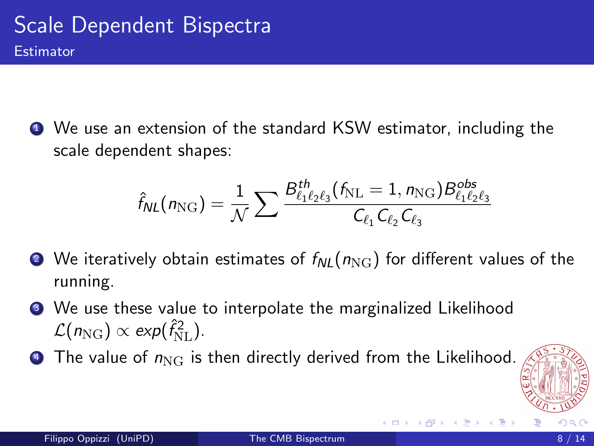<span id="page-7-0"></span><sup>1</sup> We use an extension of the standard KSW estimator, including the scale dependent shapes:

$$
\hat{f}_{NL}(n_{\rm NG}) = \frac{1}{\mathcal{N}} \sum \frac{B_{\ell_1 \ell_2 \ell_3}^{th}(f_{\rm NL} = 1, n_{\rm NG}) B_{\ell_1 \ell_2 \ell_3}^{obs}}{C_{\ell_1} C_{\ell_2} C_{\ell_3}}
$$

- **2** We iteratively obtain estimates of  $f_{NL}(n_{\text{NG}})$  for different values of the running.
- <sup>3</sup> We use these value to interpolate the marginalized Likelihood  $\mathcal{L}(n_{\text{NG}}) \propto \text{exp}(\hat{f}_{\text{NL}}^2)$ .
- $\bullet$  The value of  $n_{\text{NG}}$  is then directly derived from the Likelihood.

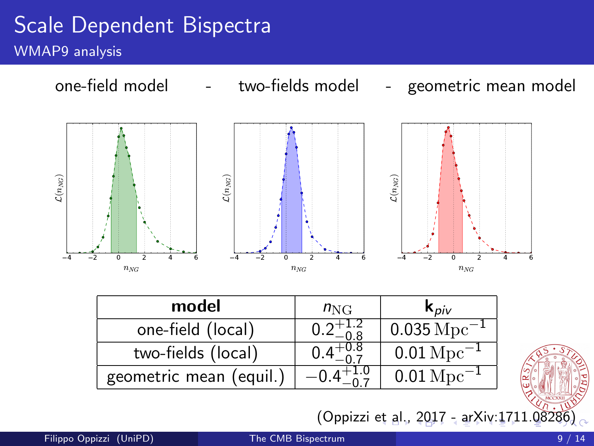### <span id="page-8-0"></span>Scale Dependent Bispectra WMAP9 analysis



| model                   | $n_{\rm NG}$ | $\mathbf{k}_{\text{Div}}$  |  |  |
|-------------------------|--------------|----------------------------|--|--|
| one-field (local)       |              | $0.035 \rm \, Mpc^{-1}$    |  |  |
| two-fields (local)      |              | $0.01 \,\mathrm{Mpc}^{-1}$ |  |  |
| geometric mean (equil.) |              | $0.01\,{\rm Mpc}^{-1}$     |  |  |

(Oppizzi [et](#page-7-0) a[l.,](#page-9-0) [2](#page-7-0)[01](#page-8-0)[7](#page-9-0) [- a](#page-0-0)[rX](#page-13-0)[iv:1](#page-0-0)[71](#page-13-0)[1.](#page-0-0)[0828](#page-13-0)6)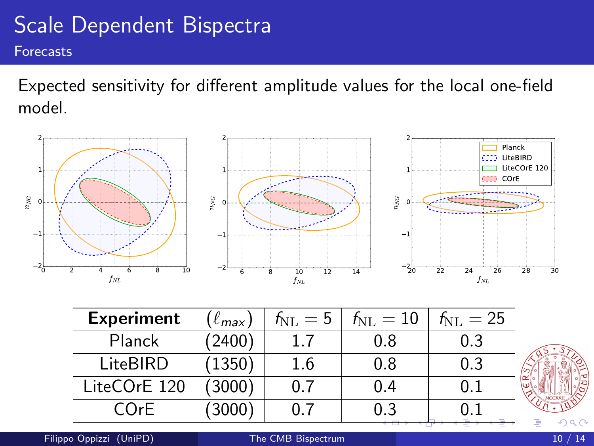#### <span id="page-9-0"></span>Scale Dependent Bispectra Forecasts

Expected sensitivity for different amplitude values for the local one-field model.



| <b>Experiment</b> | $(\ell_{max})$ | $f_{\rm NL} = 5$ | $f_{\rm NL} = 10$ | $f_{\rm NL} = 25$ |
|-------------------|----------------|------------------|-------------------|-------------------|
| Planck            | (2400)         |                  | 0.8               | 0.3               |
| LiteBIRD          | (1350)         | 1.6              | 0.8               | 0.3               |
| LiteCOrE 120      | (3000)         | 0.7              | 0.4               | 0.1               |
| COrE              | 3000           | 0.7              | 0.3               |                   |



Filippo Oppizzi (UniPD) [The CMB Bispectrum](#page-0-0) 10 / 14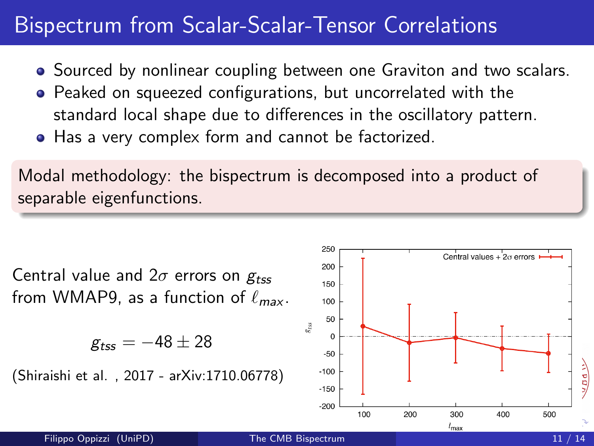### Bispectrum from Scalar-Scalar-Tensor Correlations

- Sourced by nonlinear coupling between one Graviton and two scalars.
- Peaked on squeezed configurations, but uncorrelated with the standard local shape due to differences in the oscillatory pattern.
- Has a very complex form and cannot be factorized.

Modal methodology: the bispectrum is decomposed into a product of separable eigenfunctions.

Central value and  $2\sigma$  errors on  $g_{tss}$ from WMAP9, as a function of  $\ell_{max}$ .

$$
g_{tss}=-48\pm28
$$

(Shiraishi et al. , 2017 - arXiv:1710.06778)

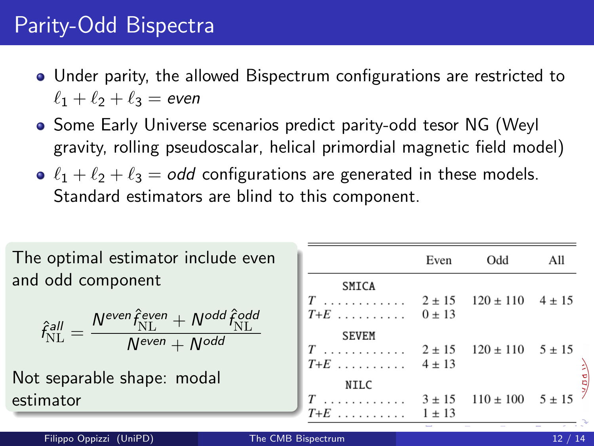# Parity-Odd Bispectra

- Under parity, the allowed Bispectrum configurations are restricted to  $\ell_1 + \ell_2 + \ell_3 =$  even
- **Some Early Universe scenarios predict parity-odd tesor NG (Weyl** gravity, rolling pseudoscalar, helical primordial magnetic field model)
- $\ell_1 + \ell_2 + \ell_3 =$  odd configurations are generated in these models. Standard estimators are blind to this component.

| The optimal estimator include even                                                                                                                                                                                                         |                  | Even | Odd | All |
|--------------------------------------------------------------------------------------------------------------------------------------------------------------------------------------------------------------------------------------------|------------------|------|-----|-----|
| and odd component                                                                                                                                                                                                                          | <b>SMICA</b>     |      |     |     |
|                                                                                                                                                                                                                                            |                  |      |     |     |
| $\hat{f}_{\mathrm{NL}}^{\textit{all}} = \frac{\textit{N}^{\textit{even}} \hat{f}_{\mathrm{NL}}^{\textit{even}} + \textit{N}^{\textit{odd}} \hat{f}_{\mathrm{NL}}^{\textit{odd}}}{\textit{N}^{\textit{even}} + \textit{N}^{\textit{odd}}}.$ | $T+E$ $0 \pm 13$ |      |     |     |
|                                                                                                                                                                                                                                            | <b>SEVEM</b>     |      |     |     |
|                                                                                                                                                                                                                                            |                  |      |     |     |
| Not separable shape: modal                                                                                                                                                                                                                 | $T+E$ $4 \pm 13$ |      |     |     |
|                                                                                                                                                                                                                                            |                  |      |     |     |
| estimator                                                                                                                                                                                                                                  | $T+E$ 1.13       |      |     |     |
|                                                                                                                                                                                                                                            |                  |      |     |     |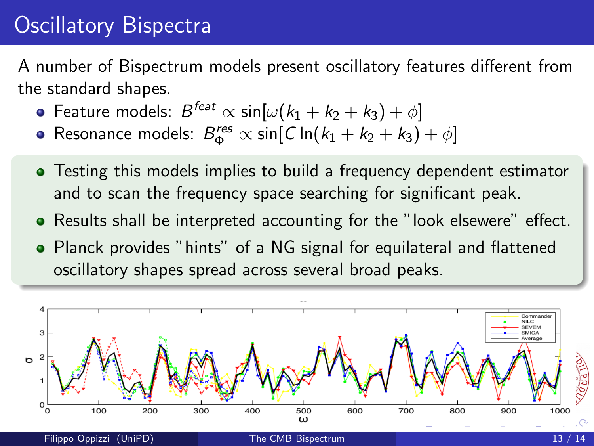# Oscillatory Bispectra

A number of Bispectrum models present oscillatory features different from the standard shapes.

- Feature models:  $B^{feat}\propto \mathsf{sin}[\omega(k_1+k_2+k_3)+\phi]$
- Resonance models:  $B_{\Phi}^{res} \propto \sin[C \ln(k_1 + k_2 + k_3) + \phi]$
- Testing this models implies to build a frequency dependent estimator and to scan the frequency space searching for significant peak.
- Results shall be interpreted accounting for the "look elsewere" effect.
- Planck provides "hints" of a NG signal for equilateral and flattened oscillatory shapes spread across several broad peaks.